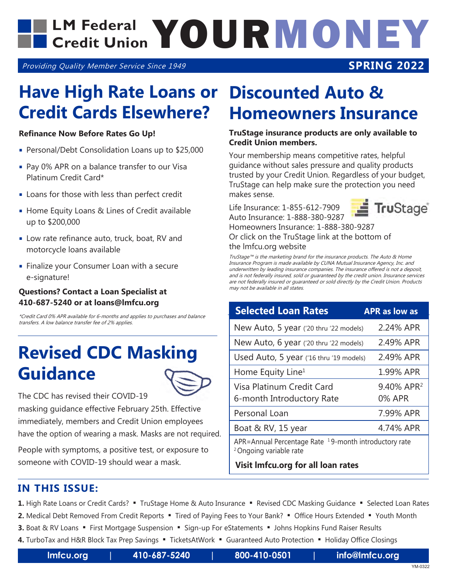## LM Federal **YOURMONEY Credit Union**

Providing Quality Member Service Since 1949

### **SPRING 2022**

## **Have High Rate Loans or Credit Cards Elsewhere?**

#### **Refinance Now Before Rates Go Up!**

- Personal/Debt Consolidation Loans up to \$25,000
- Pay 0% APR on a balance transfer to our Visa Platinum Credit Card\*
- **Loans for those with less than perfect credit**
- **Home Equity Loans & Lines of Credit available** up to \$200,000
- Low rate refinance auto, truck, boat, RV and motorcycle loans available
- **Finalize your Consumer Loan with a secure** e-signature!

#### **Questions? Contact a Loan Specialist at 410-687-5240 or at loans@lmfcu.org**

\*Credit Card 0% APR available for 6-months and applies to purchases and balance transfers. A low balance transfer fee of 2% applies.

## **Revised CDC Masking Guidance**



The CDC has revised their COVID-19

masking guidance effective February 25th. Effective immediately, members and Credit Union employees have the option of wearing a mask. Masks are not required.

People with symptoms, a positive test, or exposure to someone with COVID-19 should wear a mask.

## **Discounted Auto & Homeowners Insurance**

#### **TruStage insurance products are only available to Credit Union members.**

Your membership means competitive rates, helpful guidance without sales pressure and quality products trusted by your Credit Union. Regardless of your budget, TruStage can help make sure the protection you need makes sense.

Life Insurance: 1-855-612-7909 Auto Insurance: 1-888-380-9287



Homeowners Insurance: 1-888-380-9287 Or click on the TruStage link at the bottom of the lmfcu.org website

TruStage™ is the marketing brand for the insurance products. The Auto & Home Insurance Program is made available by CUNA Mutual Insurance Agency, Inc. and underwritten by leading insurance companies. The insurance offered is not a deposit, and is not federally insured, sold or guaranteed by the credit union. Insurance services are not federally insured or guaranteed or sold directly by the Credit Union. Products may not be available in all states.

| <b>Selected Loan Rates</b>                                                                     | <b>APR as low as</b>   |
|------------------------------------------------------------------------------------------------|------------------------|
| New Auto, 5 year ('20 thru '22 models)                                                         | 2.24% APR              |
| New Auto, 6 year ('20 thru '22 models)                                                         | 2.49% APR              |
| Used Auto, 5 year ('16 thru '19 models)                                                        | 2.49% APR              |
| Home Equity Line <sup>1</sup>                                                                  | 1.99% APR              |
| Visa Platinum Credit Card                                                                      | 9.40% APR <sup>2</sup> |
| 6-month Introductory Rate                                                                      | 0% APR                 |
| Personal Loan                                                                                  | 7.99% APR              |
| Boat & RV, 15 year                                                                             | 4.74% APR              |
| APR=Annual Percentage Rate $19$ -month introductory rate<br><sup>2</sup> Ongoing variable rate |                        |

**Visit lmfcu.org for all loan rates**

### **IN THIS ISSUE:**

- 1. High Rate Loans or Credit Cards? " TruStage Home & Auto Insurance " Revised CDC Masking Guidance " Selected Loan Rates
- 2. Medical Debt Removed From Credit Reports " Tired of Paying Fees to Your Bank? " Office Hours Extended " Youth Month
- **3.** Boat & RV Loans First Mortgage Suspension Sign-up For eStatements Johns Hopkins Fund Raiser Results
- 4. TurboTax and H&R Block Tax Prep Savings " TicketsAtWork " Guaranteed Auto Protection " Holiday Office Closings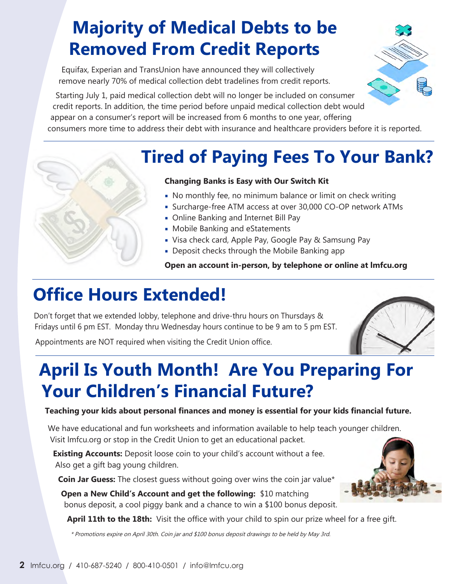## **Majority of Medical Debts to be Removed From Credit Reports**

Equifax, Experian and TransUnion have announced they will collectively remove nearly 70% of medical collection debt tradelines from credit reports.

Starting July 1, paid medical collection debt will no longer be included on consumer credit reports. In addition, the time period before unpaid medical collection debt would appear on a consumer's report will be increased from 6 months to one year, offering consumers more time to address their debt with insurance and healthcare providers before it is reported.

## **Tired of Paying Fees To Your Bank?**

#### **Changing Banks is Easy with Our Switch Kit**

- No monthly fee, no minimum balance or limit on check writing
- Surcharge-free ATM access at over 30,000 CO-OP network ATMs
- Online Banking and Internet Bill Pay
- **Mobile Banking and eStatements**
- Visa check card, Apple Pay, Google Pay & Samsung Pay
- **-** Deposit checks through the Mobile Banking app

**Open an account in-person, by telephone or online at lmfcu.org**

## **Office Hours Extended!**

Don't forget that we extended lobby, telephone and drive-thru hours on Thursdays & Fridays until 6 pm EST. Monday thru Wednesday hours continue to be 9 am to 5 pm EST.

Appointments are NOT required when visiting the Credit Union office.

## **April Is Youth Month! Are You Preparing For Your Children's Financial Future?**

#### **Teaching your kids about personal finances and money is essential for your kids financial future.**

We have educational and fun worksheets and information available to help teach younger children. Visit lmfcu.org or stop in the Credit Union to get an educational packet.

**Existing Accounts:** Deposit loose coin to your child's account without a fee. Also get a gift bag young children.

**Coin Jar Guess:** The closest guess without going over wins the coin jar value\*

**Open a New Child's Account and get the following:** \$10 matching bonus deposit, a cool piggy bank and a chance to win a \$100 bonus deposit.

**April 11th to the 18th:** Visit the office with your child to spin our prize wheel for a free gift.

\* Promotions expire on April 30th. Coin jar and \$100 bonus deposit drawings to be held by May 3rd.



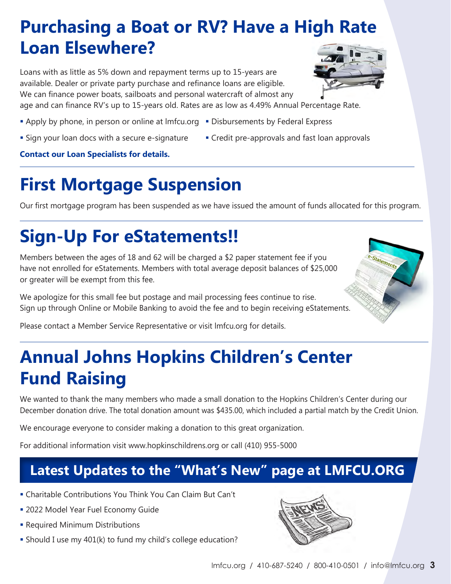## **Purchasing a Boat or RV? Have a High Rate Loan Elsewhere?**

Loans with as little as 5% down and repayment terms up to 15-years are available. Dealer or private party purchase and refinance loans are eligible. We can finance power boats, sailboats and personal watercraft of almost any



Statements

age and can finance RV's up to 15-years old. Rates are as low as 4.49% Annual Percentage Rate.

- Apply by phone, in person or online at Imfcu.org Disbursements by Federal Express
- **Sign your loan docs with a secure e-signature Credit pre-approvals and fast loan approvals**
- 

**Contact our Loan Specialists for details.**

## **First Mortgage Suspension**

Our first mortgage program has been suspended as we have issued the amount of funds allocated for this program.

# **Sign-Up For eStatements!!**

Members between the ages of 18 and 62 will be charged a \$2 paper statement fee if you have not enrolled for eStatements. Members with total average deposit balances of \$25,000 or greater will be exempt from this fee.

We apologize for this small fee but postage and mail processing fees continue to rise. Sign up through Online or Mobile Banking to avoid the fee and to begin receiving eStatements.

Please contact a Member Service Representative or visit lmfcu.org for details.

## **Annual Johns Hopkins Children's Center Fund Raising**

We wanted to thank the many members who made a small donation to the Hopkins Children's Center during our December donation drive. The total donation amount was \$435.00, which included a partial match by the Credit Union.

We encourage everyone to consider making a donation to this great organization.

For additional information visit www.hopkinschildrens.org or call (410) 955-5000

## **Latest Updates to the "What's New" page at LMFCU.ORG**

- Charitable Contributions You Think You Can Claim But Can't
- 2022 Model Year Fuel Economy Guide
- **Required Minimum Distributions**
- Should I use my 401(k) to fund my child's college education?